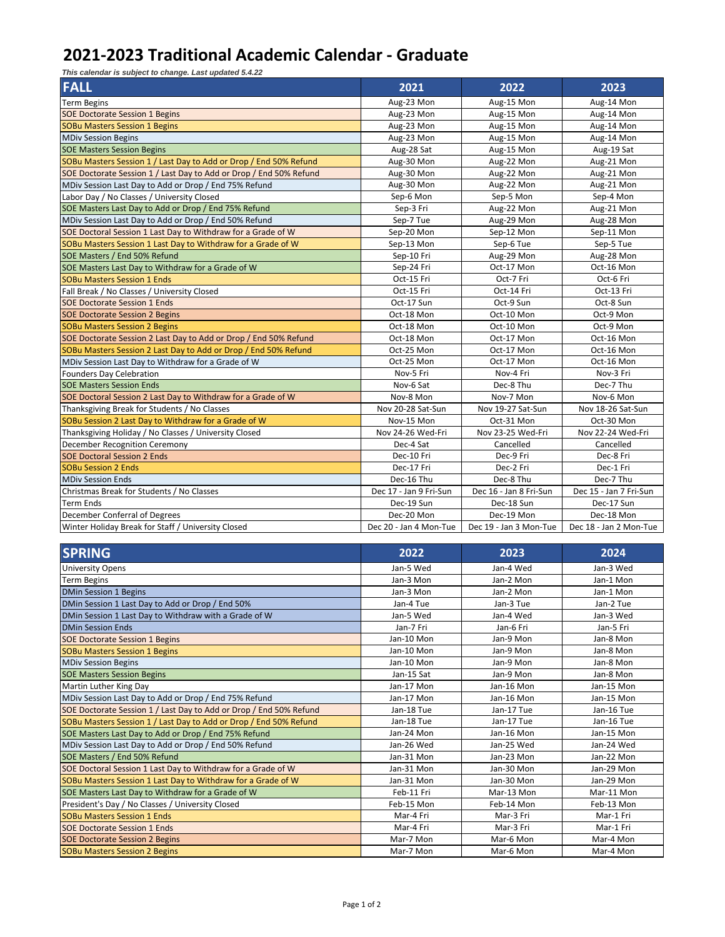## **2021-2023 Traditional Academic Calendar - Graduate**

*This calendar is subject to change. Last updated 5.4.22*

| <b>FALL</b>                                                        | 2021                   | 2022                   | 2023                   |
|--------------------------------------------------------------------|------------------------|------------------------|------------------------|
| <b>Term Begins</b>                                                 | Aug-23 Mon             | Aug-15 Mon             | Aug-14 Mon             |
| <b>SOE Doctorate Session 1 Begins</b>                              | Aug-23 Mon             | Aug-15 Mon             | Aug-14 Mon             |
| <b>SOBu Masters Session 1 Begins</b>                               | Aug-23 Mon             | Aug-15 Mon             | Aug-14 Mon             |
| <b>MDiv Session Begins</b>                                         | Aug-23 Mon             | Aug-15 Mon             | Aug-14 Mon             |
| <b>SOE Masters Session Begins</b>                                  | Aug-28 Sat             | Aug-15 Mon             | Aug-19 Sat             |
| SOBu Masters Session 1 / Last Day to Add or Drop / End 50% Refund  | Aug-30 Mon             | Aug-22 Mon             | Aug-21 Mon             |
| SOE Doctorate Session 1 / Last Day to Add or Drop / End 50% Refund | Aug-30 Mon             | Aug-22 Mon             | Aug-21 Mon             |
| MDiv Session Last Day to Add or Drop / End 75% Refund              | Aug-30 Mon             | Aug-22 Mon             | Aug-21 Mon             |
| Labor Day / No Classes / University Closed                         | Sep-6 Mon              | Sep-5 Mon              | Sep-4 Mon              |
| SOE Masters Last Day to Add or Drop / End 75% Refund               | Sep-3 Fri              | Aug-22 Mon             | Aug-21 Mon             |
| MDiv Session Last Day to Add or Drop / End 50% Refund              | Sep-7 Tue              | Aug-29 Mon             | Aug-28 Mon             |
| SOE Doctoral Session 1 Last Day to Withdraw for a Grade of W       | Sep-20 Mon             | Sep-12 Mon             | Sep-11 Mon             |
| SOBu Masters Session 1 Last Day to Withdraw for a Grade of W       | Sep-13 Mon             | Sep-6 Tue              | Sep-5 Tue              |
| SOE Masters / End 50% Refund                                       | Sep-10 Fri             | Aug-29 Mon             | Aug-28 Mon             |
| SOE Masters Last Day to Withdraw for a Grade of W                  | Sep-24 Fri             | Oct-17 Mon             | Oct-16 Mon             |
| <b>SOBu Masters Session 1 Ends</b>                                 | Oct-15 Fri             | Oct-7 Fri              | Oct-6 Fri              |
| Fall Break / No Classes / University Closed                        | Oct-15 Fri             | Oct-14 Fri             | Oct-13 Fri             |
| <b>SOE Doctorate Session 1 Ends</b>                                | Oct-17 Sun             | Oct-9 Sun              | Oct-8 Sun              |
| <b>SOE Doctorate Session 2 Begins</b>                              | Oct-18 Mon             | Oct-10 Mon             | Oct-9 Mon              |
| <b>SOBu Masters Session 2 Begins</b>                               | Oct-18 Mon             | Oct-10 Mon             | Oct-9 Mon              |
| SOE Doctorate Session 2 Last Day to Add or Drop / End 50% Refund   | Oct-18 Mon             | Oct-17 Mon             | Oct-16 Mon             |
| SOBu Masters Session 2 Last Day to Add or Drop / End 50% Refund    | Oct-25 Mon             | Oct-17 Mon             | Oct-16 Mon             |
| MDiv Session Last Day to Withdraw for a Grade of W                 | Oct-25 Mon             | Oct-17 Mon             | Oct-16 Mon             |
| <b>Founders Day Celebration</b>                                    | Nov-5 Fri              | Nov-4 Fri              | Nov-3 Fri              |
| <b>SOE Masters Session Ends</b>                                    | Nov-6 Sat              | Dec-8 Thu              | Dec-7 Thu              |
| SOE Doctoral Session 2 Last Day to Withdraw for a Grade of W       | Nov-8 Mon              | Nov-7 Mon              | Nov-6 Mon              |
| Thanksgiving Break for Students / No Classes                       | Nov 20-28 Sat-Sun      | Nov 19-27 Sat-Sun      | Nov 18-26 Sat-Sun      |
| SOBu Session 2 Last Day to Withdraw for a Grade of W               | Nov-15 Mon             | Oct-31 Mon             | Oct-30 Mon             |
| Thanksgiving Holiday / No Classes / University Closed              | Nov 24-26 Wed-Fri      | Nov 23-25 Wed-Fri      | Nov 22-24 Wed-Fri      |
| <b>December Recognition Ceremony</b>                               | Dec-4 Sat              | Cancelled              | Cancelled              |
| <b>SOE Doctoral Session 2 Ends</b>                                 | Dec-10 Fri             | Dec-9 Fri              | Dec-8 Fri              |
| <b>SOBu Session 2 Ends</b>                                         | Dec-17 Fri             | Dec-2 Fri              | Dec-1 Fri              |
| <b>MDiv Session Ends</b>                                           | Dec-16 Thu             | Dec-8 Thu              | Dec-7 Thu              |
| Christmas Break for Students / No Classes                          | Dec 17 - Jan 9 Fri-Sun | Dec 16 - Jan 8 Fri-Sun | Dec 15 - Jan 7 Fri-Sun |
| Term Ends                                                          | Dec-19 Sun             | Dec-18 Sun             | Dec-17 Sun             |
| December Conferral of Degrees                                      | Dec-20 Mon             | Dec-19 Mon             | Dec-18 Mon             |
| Winter Holiday Break for Staff / University Closed                 | Dec 20 - Jan 4 Mon-Tue | Dec 19 - Jan 3 Mon-Tue | Dec 18 - Jan 2 Mon-Tue |

| <b>SPRING</b>                                                      | 2022       | 2023       | 2024       |
|--------------------------------------------------------------------|------------|------------|------------|
| <b>University Opens</b>                                            | Jan-5 Wed  | Jan-4 Wed  | Jan-3 Wed  |
| <b>Term Begins</b>                                                 | Jan-3 Mon  | Jan-2 Mon  | Jan-1 Mon  |
| <b>DMin Session 1 Begins</b>                                       | Jan-3 Mon  | Jan-2 Mon  | Jan-1 Mon  |
| DMin Session 1 Last Day to Add or Drop / End 50%                   | Jan-4 Tue  | Jan-3 Tue  | Jan-2 Tue  |
| DMin Session 1 Last Day to Withdraw with a Grade of W              | Jan-5 Wed  | Jan-4 Wed  | Jan-3 Wed  |
| <b>DMin Session Ends</b>                                           | Jan-7 Fri  | Jan-6 Fri  | Jan-5 Fri  |
| <b>SOE Doctorate Session 1 Begins</b>                              | Jan-10 Mon | Jan-9 Mon  | Jan-8 Mon  |
| <b>SOBu Masters Session 1 Begins</b>                               | Jan-10 Mon | Jan-9 Mon  | Jan-8 Mon  |
| <b>MDiv Session Begins</b>                                         | Jan-10 Mon | Jan-9 Mon  | Jan-8 Mon  |
| <b>SOE Masters Session Begins</b>                                  | Jan-15 Sat | Jan-9 Mon  | Jan-8 Mon  |
| Martin Luther King Day                                             | Jan-17 Mon | Jan-16 Mon | Jan-15 Mon |
| MDiv Session Last Day to Add or Drop / End 75% Refund              | Jan-17 Mon | Jan-16 Mon | Jan-15 Mon |
| SOE Doctorate Session 1 / Last Day to Add or Drop / End 50% Refund | Jan-18 Tue | Jan-17 Tue | Jan-16 Tue |
| SOBu Masters Session 1 / Last Day to Add or Drop / End 50% Refund  | Jan-18 Tue | Jan-17 Tue | Jan-16 Tue |
| SOE Masters Last Day to Add or Drop / End 75% Refund               | Jan-24 Mon | Jan-16 Mon | Jan-15 Mon |
| MDiv Session Last Day to Add or Drop / End 50% Refund              | Jan-26 Wed | Jan-25 Wed | Jan-24 Wed |
| SOE Masters / End 50% Refund                                       | Jan-31 Mon | Jan-23 Mon | Jan-22 Mon |
| SOE Doctoral Session 1 Last Day to Withdraw for a Grade of W       | Jan-31 Mon | Jan-30 Mon | Jan-29 Mon |
| SOBu Masters Session 1 Last Day to Withdraw for a Grade of W       | Jan-31 Mon | Jan-30 Mon | Jan-29 Mon |
| SOE Masters Last Day to Withdraw for a Grade of W                  | Feb-11 Fri | Mar-13 Mon | Mar-11 Mon |
| President's Day / No Classes / University Closed                   | Feb-15 Mon | Feb-14 Mon | Feb-13 Mon |
| <b>SOBu Masters Session 1 Ends</b>                                 | Mar-4 Fri  | Mar-3 Fri  | Mar-1 Fri  |
| <b>SOE Doctorate Session 1 Ends</b>                                | Mar-4 Fri  | Mar-3 Fri  | Mar-1 Fri  |
| <b>SOE Doctorate Session 2 Begins</b>                              | Mar-7 Mon  | Mar-6 Mon  | Mar-4 Mon  |
| <b>SOBu Masters Session 2 Begins</b>                               | Mar-7 Mon  | Mar-6 Mon  | Mar-4 Mon  |